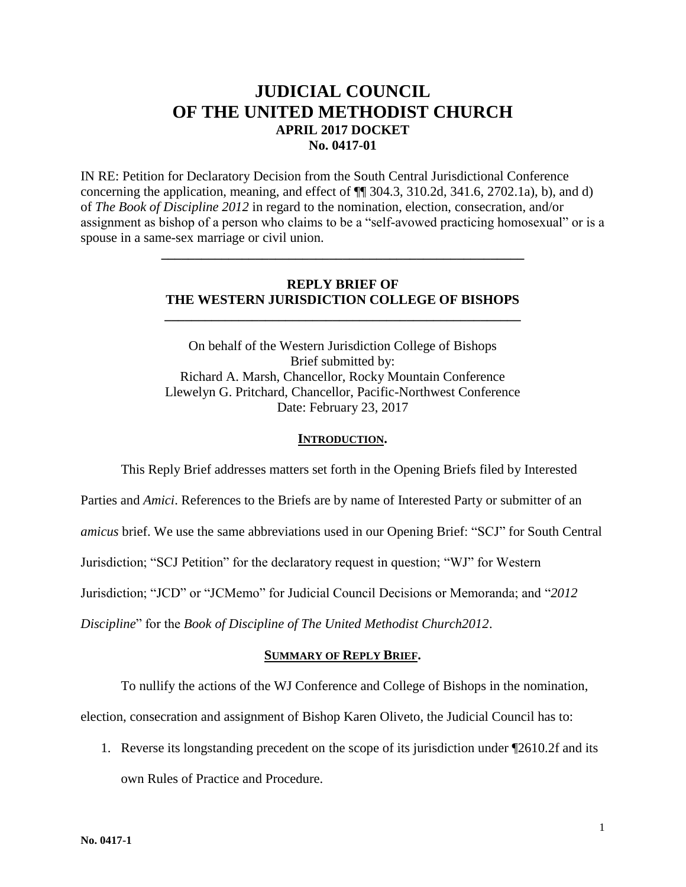# **JUDICIAL COUNCIL OF THE UNITED METHODIST CHURCH APRIL 2017 DOCKET No. 0417-01**

IN RE: Petition for Declaratory Decision from the South Central Jurisdictional Conference concerning the application, meaning, and effect of ¶¶ 304.3, 310.2d, 341.6, 2702.1a), b), and d) of *The Book of Discipline 2012* in regard to the nomination, election, consecration, and/or assignment as bishop of a person who claims to be a "self-avowed practicing homosexual" or is a spouse in a same-sex marriage or civil union.

### **REPLY BRIEF OF THE WESTERN JURISDICTION COLLEGE OF BISHOPS**

**\_\_\_\_\_\_\_\_\_\_\_\_\_\_\_\_\_\_\_\_\_\_\_\_\_\_\_\_\_\_\_\_\_\_\_\_\_\_\_\_\_\_\_\_\_\_\_\_\_\_\_\_\_**

**\_\_\_\_\_\_\_\_\_\_\_\_\_\_\_\_\_\_\_\_\_\_\_\_\_\_\_\_\_\_\_\_\_\_\_\_\_\_\_\_\_\_\_\_\_\_\_\_\_\_\_\_\_\_**

On behalf of the Western Jurisdiction College of Bishops Brief submitted by: Richard A. Marsh, Chancellor, Rocky Mountain Conference Llewelyn G. Pritchard, Chancellor, Pacific-Northwest Conference Date: February 23, 2017

#### **INTRODUCTION.**

This Reply Brief addresses matters set forth in the Opening Briefs filed by Interested Parties and *Amici*. References to the Briefs are by name of Interested Party or submitter of an *amicus* brief. We use the same abbreviations used in our Opening Brief: "SCJ" for South Central Jurisdiction; "SCJ Petition" for the declaratory request in question; "WJ" for Western Jurisdiction; "JCD" or "JCMemo" for Judicial Council Decisions or Memoranda; and "*2012 Discipline*" for the *Book of Discipline of The United Methodist Church2012*.

#### **SUMMARY OF REPLY BRIEF.**

To nullify the actions of the WJ Conference and College of Bishops in the nomination,

election, consecration and assignment of Bishop Karen Oliveto, the Judicial Council has to:

1. Reverse its longstanding precedent on the scope of its jurisdiction under ¶2610.2f and its own Rules of Practice and Procedure.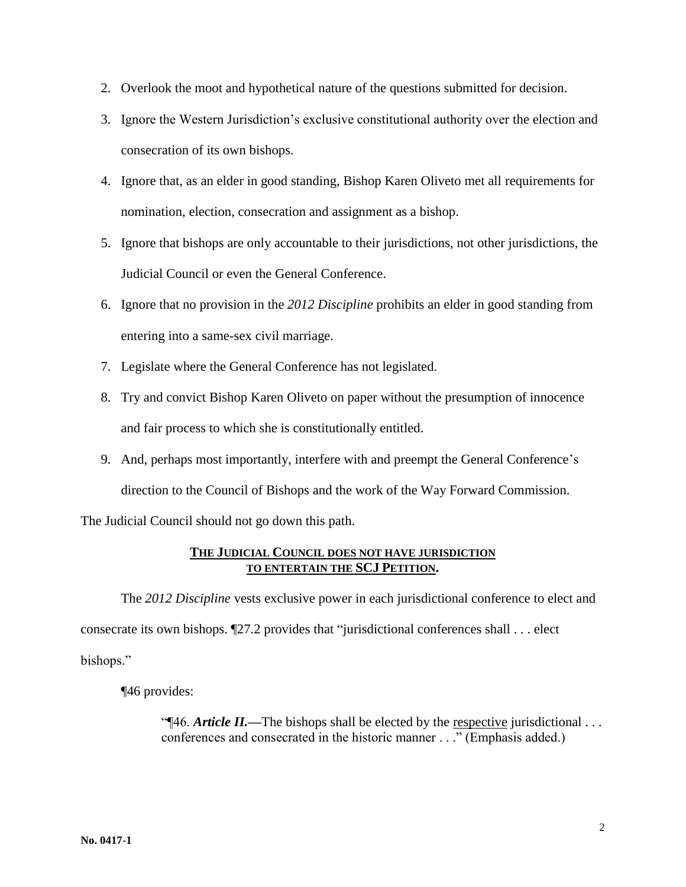- 2. Overlook the moot and hypothetical nature of the questions submitted for decision.
- 3. Ignore the Western Jurisdiction's exclusive constitutional authority over the election and consecration of its own bishops.
- 4. Ignore that, as an elder in good standing, Bishop Karen Oliveto met all requirements for nomination, election, consecration and assignment as a bishop.
- 5. Ignore that bishops are only accountable to their jurisdictions, not other jurisdictions, the Judicial Council or even the General Conference.
- 6. Ignore that no provision in the *2012 Discipline* prohibits an elder in good standing from entering into a same-sex civil marriage.
- 7. Legislate where the General Conference has not legislated.
- 8. Try and convict Bishop Karen Oliveto on paper without the presumption of innocence and fair process to which she is constitutionally entitled.
- 9. And, perhaps most importantly, interfere with and preempt the General Conference's direction to the Council of Bishops and the work of the Way Forward Commission.

The Judicial Council should not go down this path.

## **THE JUDICIAL COUNCIL DOES NOT HAVE JURISDICTION TO ENTERTAIN THE SCJ PETITION.**

The *2012 Discipline* vests exclusive power in each jurisdictional conference to elect and consecrate its own bishops. ¶27.2 provides that "jurisdictional conferences shall . . . elect bishops."

¶46 provides:

"¶46. *Article II.—*The bishops shall be elected by the respective jurisdictional . . . conferences and consecrated in the historic manner . . ." (Emphasis added.)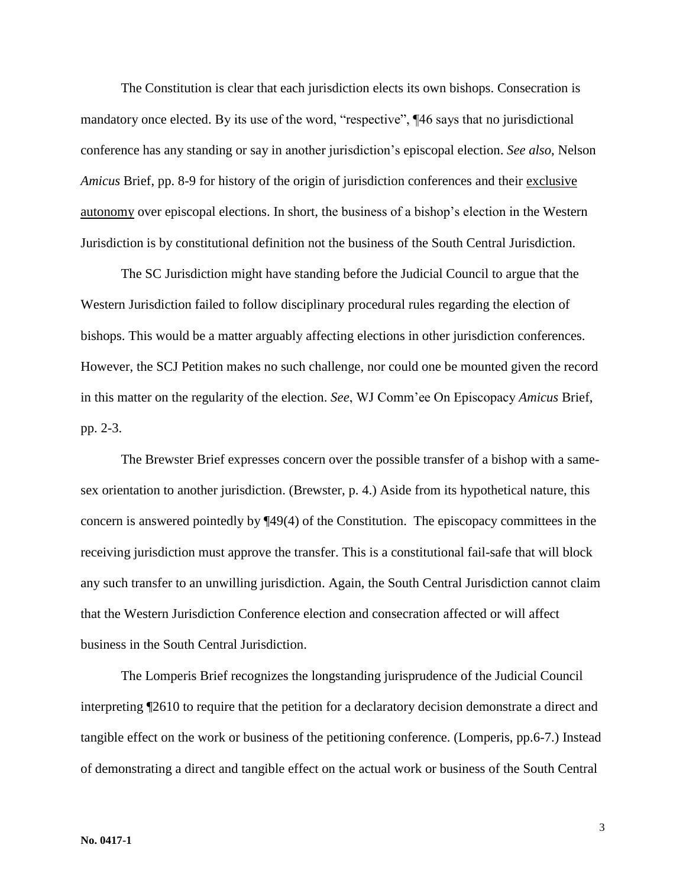The Constitution is clear that each jurisdiction elects its own bishops. Consecration is mandatory once elected. By its use of the word, "respective",  $\P$ 46 says that no jurisdictional conference has any standing or say in another jurisdiction's episcopal election. *See also*, Nelson *Amicus* Brief, pp. 8-9 for history of the origin of jurisdiction conferences and their exclusive autonomy over episcopal elections. In short, the business of a bishop's election in the Western Jurisdiction is by constitutional definition not the business of the South Central Jurisdiction.

The SC Jurisdiction might have standing before the Judicial Council to argue that the Western Jurisdiction failed to follow disciplinary procedural rules regarding the election of bishops. This would be a matter arguably affecting elections in other jurisdiction conferences. However, the SCJ Petition makes no such challenge, nor could one be mounted given the record in this matter on the regularity of the election. *See*, WJ Comm'ee On Episcopacy *Amicus* Brief, pp. 2-3.

The Brewster Brief expresses concern over the possible transfer of a bishop with a samesex orientation to another jurisdiction. (Brewster, p. 4.) Aside from its hypothetical nature, this concern is answered pointedly by ¶49(4) of the Constitution. The episcopacy committees in the receiving jurisdiction must approve the transfer. This is a constitutional fail-safe that will block any such transfer to an unwilling jurisdiction. Again, the South Central Jurisdiction cannot claim that the Western Jurisdiction Conference election and consecration affected or will affect business in the South Central Jurisdiction.

The Lomperis Brief recognizes the longstanding jurisprudence of the Judicial Council interpreting ¶2610 to require that the petition for a declaratory decision demonstrate a direct and tangible effect on the work or business of the petitioning conference. (Lomperis, pp.6-7.) Instead of demonstrating a direct and tangible effect on the actual work or business of the South Central

3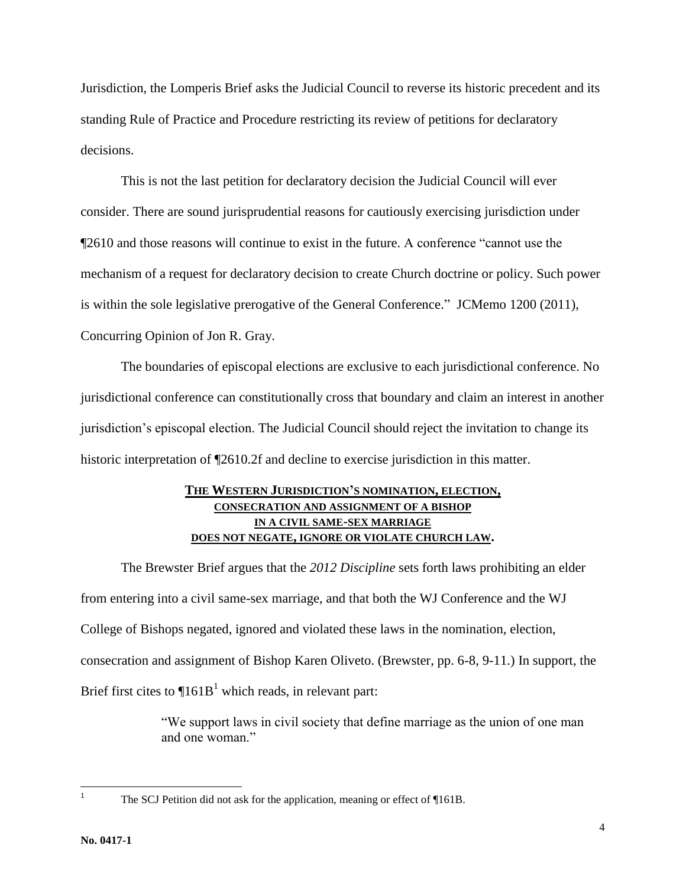Jurisdiction, the Lomperis Brief asks the Judicial Council to reverse its historic precedent and its standing Rule of Practice and Procedure restricting its review of petitions for declaratory decisions.

This is not the last petition for declaratory decision the Judicial Council will ever consider. There are sound jurisprudential reasons for cautiously exercising jurisdiction under ¶2610 and those reasons will continue to exist in the future. A conference "cannot use the mechanism of a request for declaratory decision to create Church doctrine or policy. Such power is within the sole legislative prerogative of the General Conference." JCMemo 1200 (2011), Concurring Opinion of Jon R. Gray.

The boundaries of episcopal elections are exclusive to each jurisdictional conference. No jurisdictional conference can constitutionally cross that boundary and claim an interest in another jurisdiction's episcopal election. The Judicial Council should reject the invitation to change its historic interpretation of  $\P$ 2610.2f and decline to exercise jurisdiction in this matter.

## **THE WESTERN JURISDICTION'S NOMINATION, ELECTION, CONSECRATION AND ASSIGNMENT OF A BISHOP IN A CIVIL SAME-SEX MARRIAGE DOES NOT NEGATE, IGNORE OR VIOLATE CHURCH LAW.**

The Brewster Brief argues that the *2012 Discipline* sets forth laws prohibiting an elder from entering into a civil same-sex marriage, and that both the WJ Conference and the WJ College of Bishops negated, ignored and violated these laws in the nomination, election, consecration and assignment of Bishop Karen Oliveto. (Brewster, pp. 6-8, 9-11.) In support, the Brief first cites to  $\P$ 161B<sup>1</sup> which reads, in relevant part:

> "We support laws in civil society that define marriage as the union of one man and one woman."

 $\overline{1}$ 

The SCJ Petition did not ask for the application, meaning or effect of ¶161B.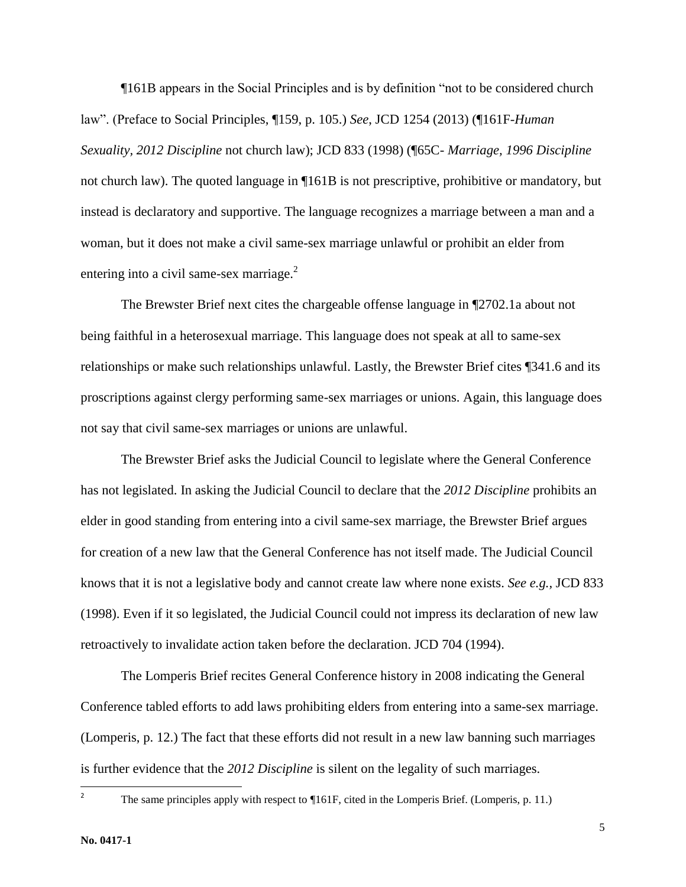¶161B appears in the Social Principles and is by definition "not to be considered church law". (Preface to Social Principles, ¶159, p. 105.) *See*, JCD 1254 (2013) (¶161F-*Human Sexuality, 2012 Discipline* not church law); JCD 833 (1998) (¶65C- *Marriage, 1996 Discipline* not church law). The quoted language in ¶161B is not prescriptive, prohibitive or mandatory, but instead is declaratory and supportive. The language recognizes a marriage between a man and a woman, but it does not make a civil same-sex marriage unlawful or prohibit an elder from entering into a civil same-sex marriage. $2$ 

The Brewster Brief next cites the chargeable offense language in ¶2702.1a about not being faithful in a heterosexual marriage. This language does not speak at all to same-sex relationships or make such relationships unlawful. Lastly, the Brewster Brief cites ¶341.6 and its proscriptions against clergy performing same-sex marriages or unions. Again, this language does not say that civil same-sex marriages or unions are unlawful.

The Brewster Brief asks the Judicial Council to legislate where the General Conference has not legislated. In asking the Judicial Council to declare that the *2012 Discipline* prohibits an elder in good standing from entering into a civil same-sex marriage, the Brewster Brief argues for creation of a new law that the General Conference has not itself made. The Judicial Council knows that it is not a legislative body and cannot create law where none exists. *See e.g.,* JCD 833 (1998). Even if it so legislated, the Judicial Council could not impress its declaration of new law retroactively to invalidate action taken before the declaration. JCD 704 (1994).

The Lomperis Brief recites General Conference history in 2008 indicating the General Conference tabled efforts to add laws prohibiting elders from entering into a same-sex marriage. (Lomperis, p. 12.) The fact that these efforts did not result in a new law banning such marriages is further evidence that the *2012 Discipline* is silent on the legality of such marriages.

 $\overline{2}$ 

The same principles apply with respect to ¶161F, cited in the Lomperis Brief. (Lomperis, p. 11.)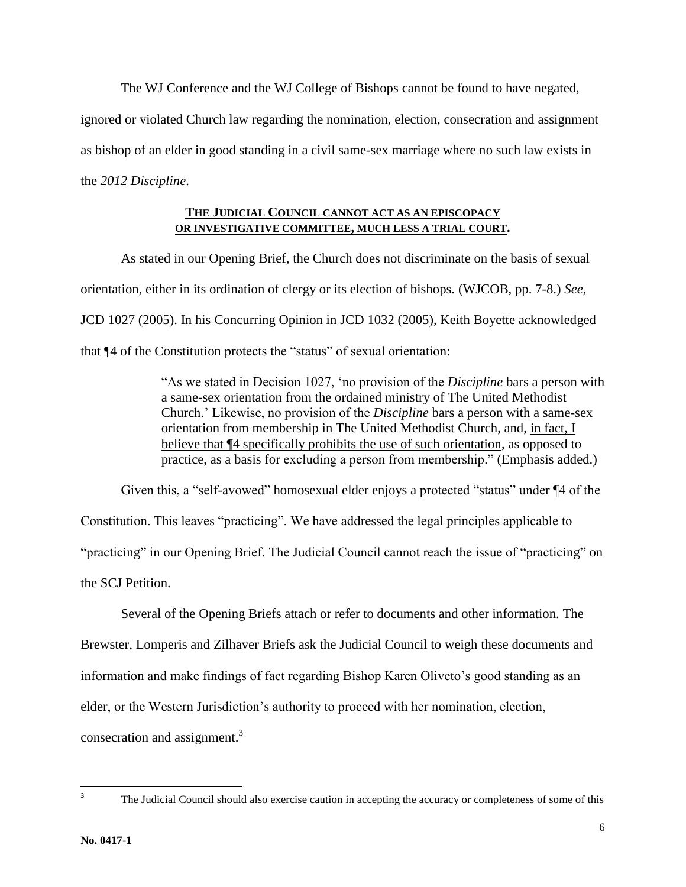The WJ Conference and the WJ College of Bishops cannot be found to have negated,

ignored or violated Church law regarding the nomination, election, consecration and assignment

as bishop of an elder in good standing in a civil same-sex marriage where no such law exists in

the *2012 Discipline*.

### **THE JUDICIAL COUNCIL CANNOT ACT AS AN EPISCOPACY OR INVESTIGATIVE COMMITTEE, MUCH LESS A TRIAL COURT.**

As stated in our Opening Brief, the Church does not discriminate on the basis of sexual orientation, either in its ordination of clergy or its election of bishops. (WJCOB, pp. 7-8.) *See,*  JCD 1027 (2005). In his Concurring Opinion in JCD 1032 (2005), Keith Boyette acknowledged that ¶4 of the Constitution protects the "status" of sexual orientation:

> "As we stated in Decision 1027, 'no provision of the *Discipline* bars a person with a same-sex orientation from the ordained ministry of The United Methodist Church.' Likewise, no provision of the *Discipline* bars a person with a same-sex orientation from membership in The United Methodist Church, and, in fact, I believe that  $\P$ 4 specifically prohibits the use of such orientation, as opposed to practice, as a basis for excluding a person from membership." (Emphasis added.)

Given this, a "self-avowed" homosexual elder enjoys a protected "status" under ¶4 of the Constitution. This leaves "practicing". We have addressed the legal principles applicable to "practicing" in our Opening Brief. The Judicial Council cannot reach the issue of "practicing" on the SCJ Petition.

Several of the Opening Briefs attach or refer to documents and other information. The Brewster, Lomperis and Zilhaver Briefs ask the Judicial Council to weigh these documents and information and make findings of fact regarding Bishop Karen Oliveto's good standing as an elder, or the Western Jurisdiction's authority to proceed with her nomination, election, consecration and assignment.<sup>3</sup>

<sup>-&</sup>lt;br>3

The Judicial Council should also exercise caution in accepting the accuracy or completeness of some of this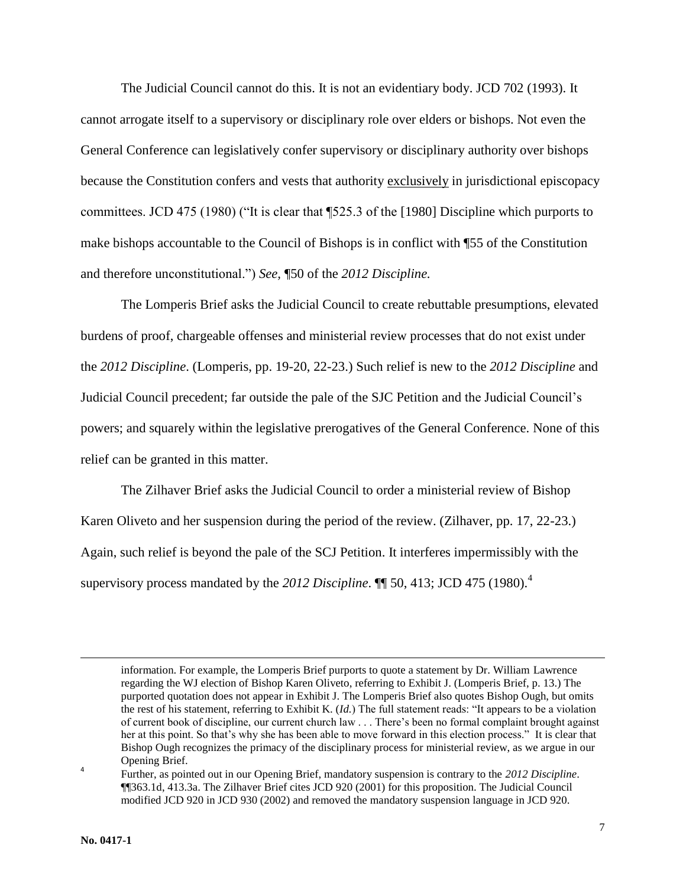The Judicial Council cannot do this. It is not an evidentiary body. JCD 702 (1993). It cannot arrogate itself to a supervisory or disciplinary role over elders or bishops. Not even the General Conference can legislatively confer supervisory or disciplinary authority over bishops because the Constitution confers and vests that authority exclusively in jurisdictional episcopacy committees. JCD 475 (1980) ("It is clear that ¶525.3 of the [1980] Discipline which purports to make bishops accountable to the Council of Bishops is in conflict with ¶55 of the Constitution and therefore unconstitutional.") *See,* ¶50 of the *2012 Discipline.*

The Lomperis Brief asks the Judicial Council to create rebuttable presumptions, elevated burdens of proof, chargeable offenses and ministerial review processes that do not exist under the *2012 Discipline*. (Lomperis, pp. 19-20, 22-23.) Such relief is new to the *2012 Discipline* and Judicial Council precedent; far outside the pale of the SJC Petition and the Judicial Council's powers; and squarely within the legislative prerogatives of the General Conference. None of this relief can be granted in this matter.

The Zilhaver Brief asks the Judicial Council to order a ministerial review of Bishop Karen Oliveto and her suspension during the period of the review. (Zilhaver, pp. 17, 22-23.) Again, such relief is beyond the pale of the SCJ Petition. It interferes impermissibly with the supervisory process mandated by the *2012 Discipline*. ¶¶ 50, 413; JCD 475 (1980).<sup>4</sup>

 $\overline{a}$ 

4

information. For example, the Lomperis Brief purports to quote a statement by Dr. William Lawrence regarding the WJ election of Bishop Karen Oliveto, referring to Exhibit J. (Lomperis Brief, p. 13.) The purported quotation does not appear in Exhibit J. The Lomperis Brief also quotes Bishop Ough, but omits the rest of his statement, referring to Exhibit K. (*Id.*) The full statement reads: "It appears to be a violation of current book of discipline, our current church law . . . There's been no formal complaint brought against her at this point. So that's why she has been able to move forward in this election process." It is clear that Bishop Ough recognizes the primacy of the disciplinary process for ministerial review, as we argue in our Opening Brief.

Further, as pointed out in our Opening Brief, mandatory suspension is contrary to the *2012 Discipline*. ¶¶363.1d, 413.3a. The Zilhaver Brief cites JCD 920 (2001) for this proposition. The Judicial Council modified JCD 920 in JCD 930 (2002) and removed the mandatory suspension language in JCD 920.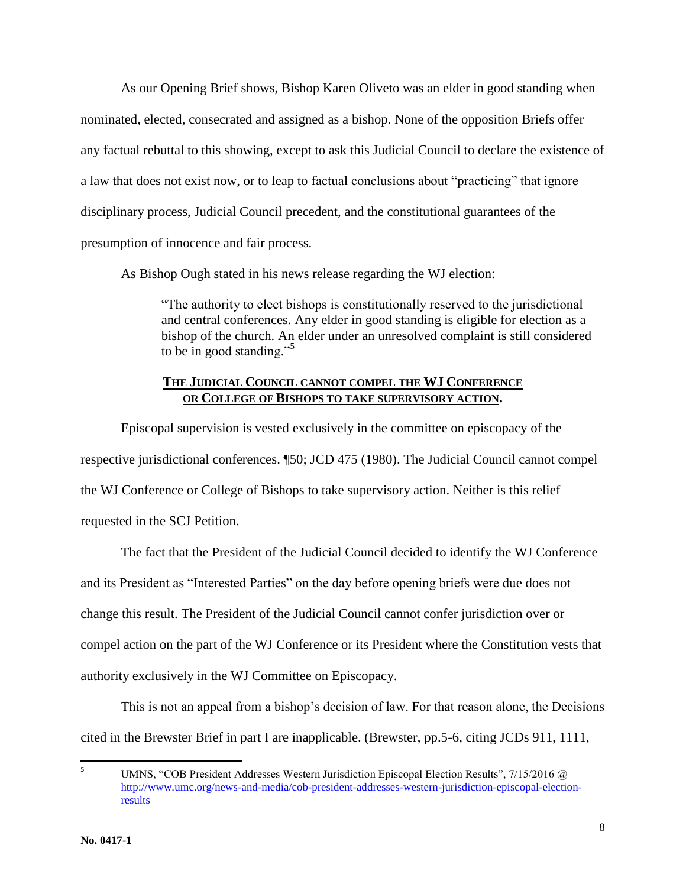As our Opening Brief shows, Bishop Karen Oliveto was an elder in good standing when nominated, elected, consecrated and assigned as a bishop. None of the opposition Briefs offer any factual rebuttal to this showing, except to ask this Judicial Council to declare the existence of a law that does not exist now, or to leap to factual conclusions about "practicing" that ignore disciplinary process, Judicial Council precedent, and the constitutional guarantees of the presumption of innocence and fair process.

As Bishop Ough stated in his news release regarding the WJ election:

"The authority to elect bishops is constitutionally reserved to the jurisdictional and central conferences. Any elder in good standing is eligible for election as a bishop of the church. An elder under an unresolved complaint is still considered to be in good standing."<sup>5</sup>

## **THE JUDICIAL COUNCIL CANNOT COMPEL THE WJ CONFERENCE OR COLLEGE OF BISHOPS TO TAKE SUPERVISORY ACTION.**

Episcopal supervision is vested exclusively in the committee on episcopacy of the respective jurisdictional conferences. ¶50; JCD 475 (1980). The Judicial Council cannot compel the WJ Conference or College of Bishops to take supervisory action. Neither is this relief requested in the SCJ Petition.

The fact that the President of the Judicial Council decided to identify the WJ Conference and its President as "Interested Parties" on the day before opening briefs were due does not change this result. The President of the Judicial Council cannot confer jurisdiction over or compel action on the part of the WJ Conference or its President where the Constitution vests that authority exclusively in the WJ Committee on Episcopacy.

This is not an appeal from a bishop's decision of law. For that reason alone, the Decisions cited in the Brewster Brief in part I are inapplicable. (Brewster, pp.5-6, citing JCDs 911, 1111,

 $\overline{5}$ <sup>5</sup> UMNS, "COB President Addresses Western Jurisdiction Episcopal Election Results", 7/15/2016 @ [http://www.umc.org/news-and-media/cob-president-addresses-western-jurisdiction-episcopal-election](http://www.umc.org/news-and-media/cob-president-addresses-western-jurisdiction-episcopal-election-results)[results](http://www.umc.org/news-and-media/cob-president-addresses-western-jurisdiction-episcopal-election-results)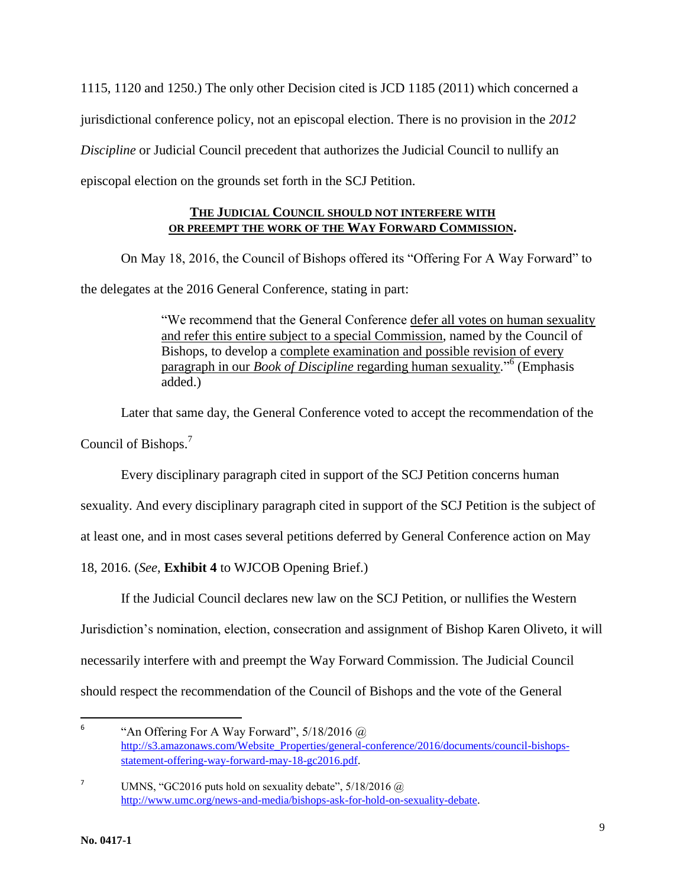1115, 1120 and 1250.) The only other Decision cited is JCD 1185 (2011) which concerned a jurisdictional conference policy, not an episcopal election. There is no provision in the *2012 Discipline* or Judicial Council precedent that authorizes the Judicial Council to nullify an episcopal election on the grounds set forth in the SCJ Petition.

## **THE JUDICIAL COUNCIL SHOULD NOT INTERFERE WITH OR PREEMPT THE WORK OF THE WAY FORWARD COMMISSION.**

On May 18, 2016, the Council of Bishops offered its "Offering For A Way Forward" to the delegates at the 2016 General Conference, stating in part:

> "We recommend that the General Conference defer all votes on human sexuality and refer this entire subject to a special Commission, named by the Council of Bishops, to develop a complete examination and possible revision of every paragraph in our *Book of Discipline* regarding human sexuality." 6 (Emphasis added.)

Later that same day, the General Conference voted to accept the recommendation of the Council of Bishops.<sup>7</sup>

Every disciplinary paragraph cited in support of the SCJ Petition concerns human

sexuality. And every disciplinary paragraph cited in support of the SCJ Petition is the subject of

at least one, and in most cases several petitions deferred by General Conference action on May

18, 2016. (*See*, **Exhibit 4** to WJCOB Opening Brief.)

If the Judicial Council declares new law on the SCJ Petition, or nullifies the Western

Jurisdiction's nomination, election, consecration and assignment of Bishop Karen Oliveto, it will

necessarily interfere with and preempt the Way Forward Commission. The Judicial Council

should respect the recommendation of the Council of Bishops and the vote of the General

 $\frac{1}{6}$ "An Offering For A Way Forward",  $5/18/2016$   $@$ [http://s3.amazonaws.com/Website\\_Properties/general-conference/2016/documents/council-bishops](http://s3.amazonaws.com/Website_Properties/general-conference/2016/documents/council-bishops-statement-offering-way-forward-may-18-gc2016.pdf)[statement-offering-way-forward-may-18-gc2016.pdf.](http://s3.amazonaws.com/Website_Properties/general-conference/2016/documents/council-bishops-statement-offering-way-forward-may-18-gc2016.pdf)

<sup>&</sup>lt;sup>7</sup> UMNS, "GC2016 puts hold on sexuality debate",  $5/18/2016$  @ [http://www.umc.org/news-and-media/bishops-ask-for-hold-on-sexuality-debate.](http://www.umc.org/news-and-media/bishops-ask-for-hold-on-sexuality-debate)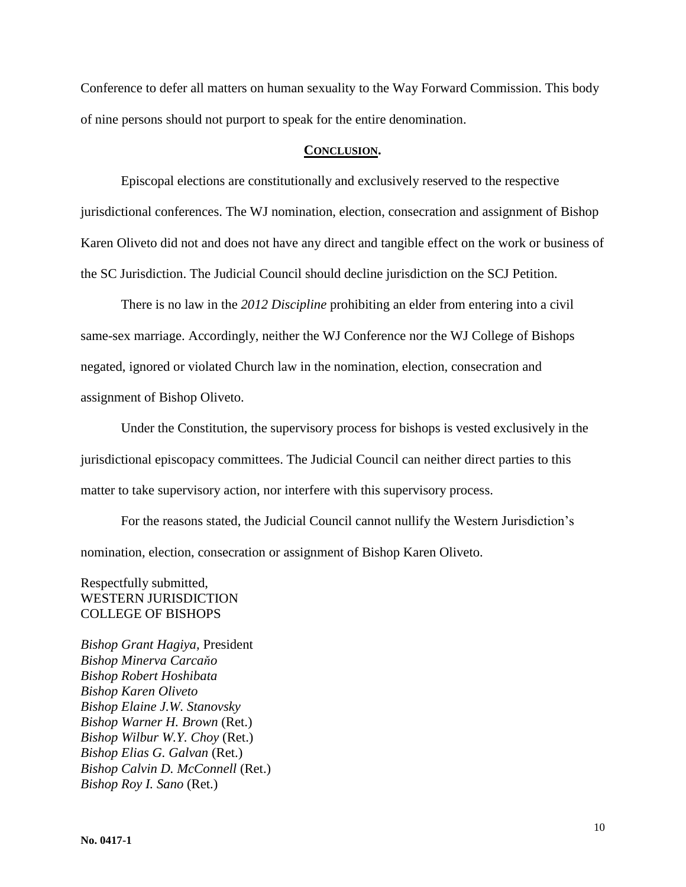Conference to defer all matters on human sexuality to the Way Forward Commission. This body of nine persons should not purport to speak for the entire denomination.

#### **CONCLUSION.**

Episcopal elections are constitutionally and exclusively reserved to the respective jurisdictional conferences. The WJ nomination, election, consecration and assignment of Bishop Karen Oliveto did not and does not have any direct and tangible effect on the work or business of the SC Jurisdiction. The Judicial Council should decline jurisdiction on the SCJ Petition.

There is no law in the *2012 Discipline* prohibiting an elder from entering into a civil same-sex marriage. Accordingly, neither the WJ Conference nor the WJ College of Bishops negated, ignored or violated Church law in the nomination, election, consecration and assignment of Bishop Oliveto.

Under the Constitution, the supervisory process for bishops is vested exclusively in the jurisdictional episcopacy committees. The Judicial Council can neither direct parties to this matter to take supervisory action, nor interfere with this supervisory process.

For the reasons stated, the Judicial Council cannot nullify the Western Jurisdiction's nomination, election, consecration or assignment of Bishop Karen Oliveto.

## Respectfully submitted, WESTERN JURISDICTION COLLEGE OF BISHOPS

*Bishop Grant Hagiya,* President *Bishop Minerva Carcaňo Bishop Robert Hoshibata Bishop Karen Oliveto Bishop Elaine J.W. Stanovsky Bishop Warner H. Brown* (Ret.) *Bishop Wilbur W.Y. Choy* (Ret.) *Bishop Elias G. Galvan* (Ret.) *Bishop Calvin D. McConnell* (Ret.) *Bishop Roy I. Sano* (Ret.)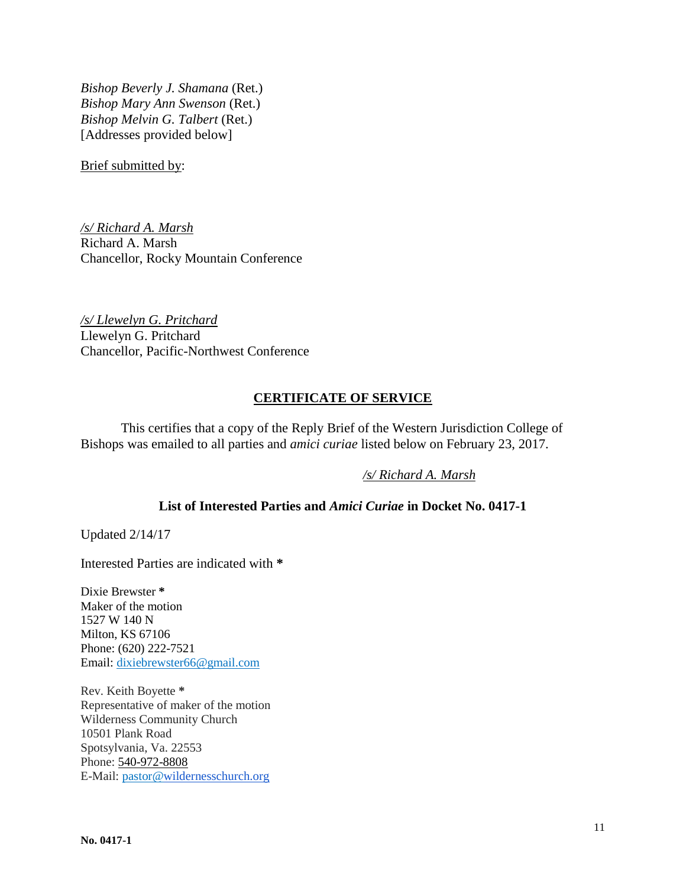*Bishop Beverly J. Shamana* (Ret.) *Bishop Mary Ann Swenson* (Ret.) *Bishop Melvin G. Talbert* (Ret.) [Addresses provided below]

Brief submitted by:

*/s/ Richard A. Marsh* Richard A. Marsh Chancellor, Rocky Mountain Conference

*/s/ Llewelyn G. Pritchard* Llewelyn G. Pritchard Chancellor, Pacific-Northwest Conference

## **CERTIFICATE OF SERVICE**

This certifies that a copy of the Reply Brief of the Western Jurisdiction College of Bishops was emailed to all parties and *amici curiae* listed below on February 23, 2017.

*/s/ Richard A. Marsh*

## **List of Interested Parties and** *Amici Curiae* **in Docket No. 0417-1**

Updated 2/14/17

Interested Parties are indicated with **\***

Dixie Brewster **\*** Maker of the motion 1527 W 140 N Milton, KS 67106 Phone: (620) 222-7521 Email: [dixiebrewster66@gmail.com](mailto:dixiebrewster66@gmail.com)

Rev. Keith Boyette **\*** Representative of maker of the motion Wilderness Community Church 10501 Plank Road Spotsylvania, Va. 22553 Phone: 540-972-8808 E-Mail: pastor[@wildernesschurch.org](http://wildernesschurch.org/)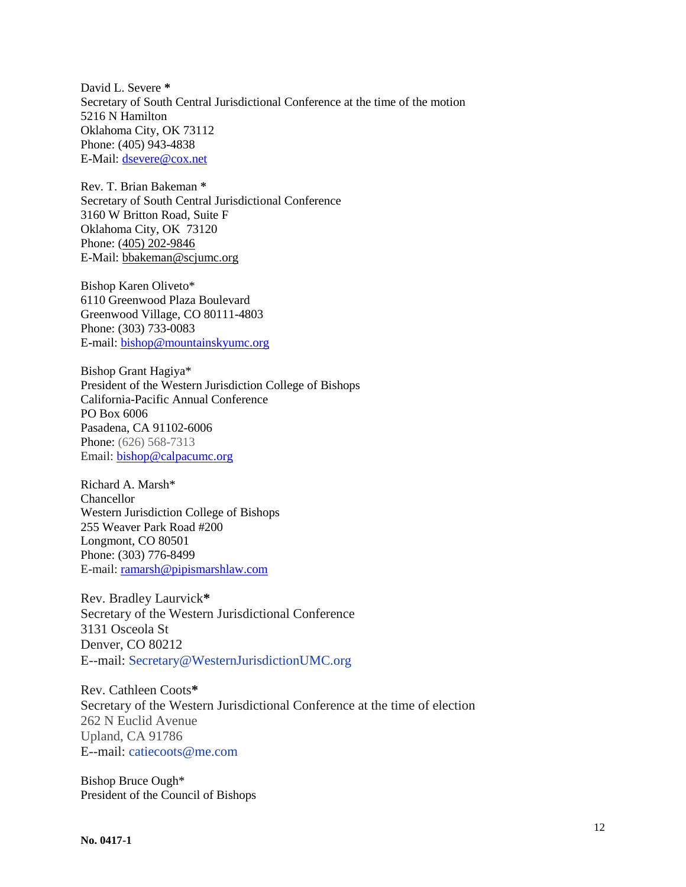David L. Severe **\*** Secretary of South Central Jurisdictional Conference at the time of the motion 5216 N Hamilton Oklahoma City, OK 73112 Phone: (405) 943-4838 E-Mail: [dsevere@cox.net](mailto:dsevere@cox.net)

Rev. T. Brian Bakeman **\*** Secretary of South Central Jurisdictional Conference 3160 W Britton Road, Suite F Oklahoma City, OK 73120 Phone: (405) 202-9846 E-Mail: [bbakeman@scjumc.org](mailto:bbakeman@scjumc.org)

Bishop Karen Oliveto\* 6110 Greenwood Plaza Boulevard Greenwood Village, CO 80111-4803 Phone: (303) 733-0083 E-mail[: bishop@mountainskyumc.org](mailto:bishop@mountainskyumc.org)

Bishop Grant Hagiya\* President of the Western Jurisdiction College of Bishops California-Pacific Annual Conference PO Box 6006 Pasadena, CA 91102-6006 Phone: (626) 568-7313 Email: [bishop@calpacumc.org](mailto:bishop@calpacumc.org)

Richard A. Marsh\* Chancellor Western Jurisdiction College of Bishops 255 Weaver Park Road #200 Longmont, CO 80501 Phone: (303) 776-8499 E-mail[: ramarsh@pipismarshlaw.com](mailto:ramarsh@pipismarshlaw.com)

Rev. Bradley Laurvick**\*** Secretary of the Western Jurisdictional Conference 3131 Osceola St Denver, CO 80212 E--mail: Secretary@WesternJurisdictionUMC.org

Rev. Cathleen Coots**\*** Secretary of the Western Jurisdictional Conference at the time of election 262 N Euclid Avenue Upland, CA 91786 E--mail: catiecoots@me.com

Bishop Bruce Ough\* President of the Council of Bishops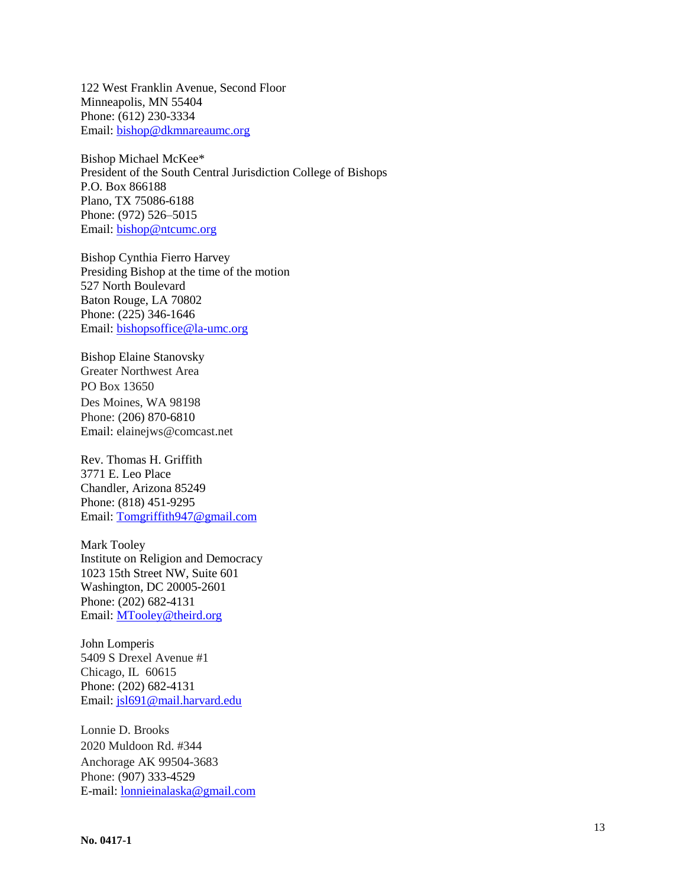122 West Franklin Avenue, Second Floor Minneapolis, MN 55404 Phone: (612) 230-3334 Email: [bishop@dkmnareaumc.org](mailto:bishop@dkmnareaumc.org)

Bishop Michael McKee \* President of the South Central Jurisdiction College of Bishops P.O. Box 866188 Plano, TX 75086 -6188 Phone: (972) 526 –5015 Email: [bishop@ntcumc.org](mailto:bishop@ntcumc.org)

Bishop Cynthia Fierro Harvey Presiding Bishop at the time of the motion 527 North Boulevard Baton Rouge, LA 70802 Phone: (225) 346 -1646 Email: [bishopsoffice@la](mailto:bishopsoffice@la-umc.org)-umc.org

Bishop Elaine Stanovsky Greater Northwest Area PO Box 13650 Des Moines, WA 98198 Phone: [\(206\) 870](tel:206-870-6810)-6810 Email: elainejws@comcast.net

Rev. Thomas H. Griffith 3771 E. Leo Place Chandler, Arizona 85249 Phone: (818) 451 -9295 Email: [Tomgriffith947@gmail.com](mailto:Tomgriffith947@gmail.com)

Mark Tooley Institute on Religion and Democracy 1023 15th Street NW, Suite 601 Washington, DC 20005 -2601 Phone: (202) 682-4131 Email: [MTooley@theird.org](mailto:MTooley@theird.org)

John Lomperis 5409 S Drexel Avenue #1 Chicago, IL 60615 Phone: (202) 682-4131 Email: [jsl691@mail.harvard.edu](mailto:jsl691@mail.harvard.edu)

Lonnie D. Brooks 2020 Muldoon Rd. #344 Anchorage AK 99504 -3683 Phone: [\(907\) 333](tel:907-333-4529) -4529 E -mail[: lonnieinalaska@gmail.com](mailto:lonnieinalaska@gmail.com)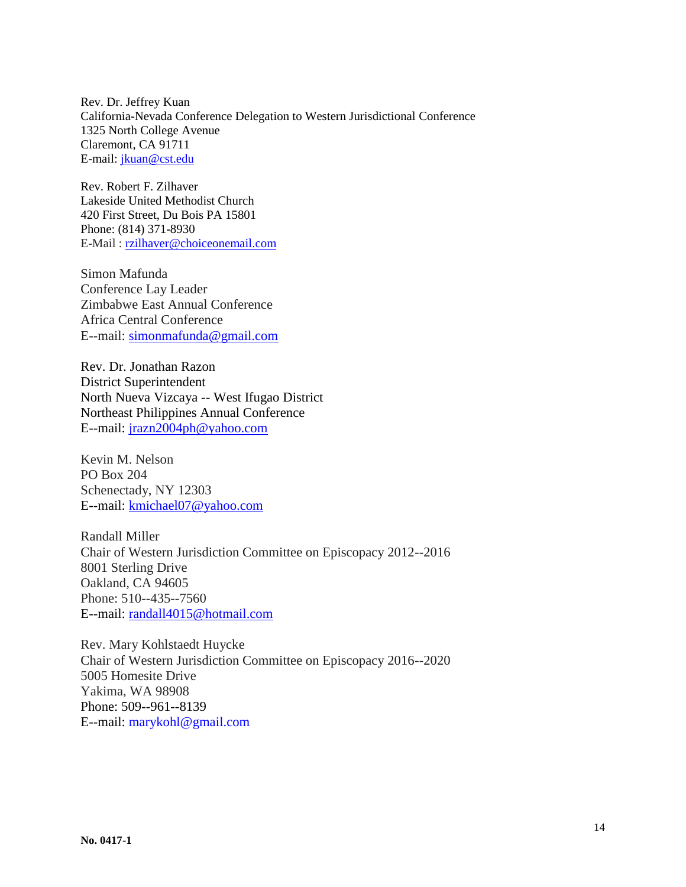Rev. Dr. Jeffrey Kuan California-Nevada Conference Delegation to Western Jurisdictional Conference 1325 North College Avenue Claremont, CA 91711 E-mail[: jkuan@cst.edu](mailto:jkuan@cst.edu)

Rev. Robert F. Zilhaver Lakeside United Methodist Church 420 First Street, Du Bois PA 15801 Phone: (814) 371-8930 E-Mail [: rzilhaver@choiceonemail.com](mailto:rzilhaver@choiceonemail.com)

Simon Mafunda Conference Lay Leader Zimbabwe East Annual Conference Africa Central Conference E--mail: [simonmafunda@gmail.com](mailto:simonmafunda@gmail.com)

Rev. Dr. Jonathan Razon District Superintendent North Nueva Vizcaya -- West Ifugao District Northeast Philippines Annual Conference E--mail: [jrazn2004ph@yahoo.com](mailto:jrazn2004ph@yahoo.com)

Kevin M. Nelson PO Box 204 Schenectady, NY 12303 E--mail: [kmichael07@yahoo.com](mailto:kmichael07@yahoo.com)

Randall Miller Chair of Western Jurisdiction Committee on Episcopacy 2012--2016 8001 Sterling Drive Oakland, CA 94605 Phone: 510--435--7560 E--mail: [randall4015@hotmail.com](mailto:randall4015@hotmail.com)

Rev. Mary Kohlstaedt Huycke Chair of Western Jurisdiction Committee on Episcopacy 2016--2020 5005 Homesite Drive Yakima, WA 98908 Phone: 509--961--8139 E--mail: marykohl@gmail.com